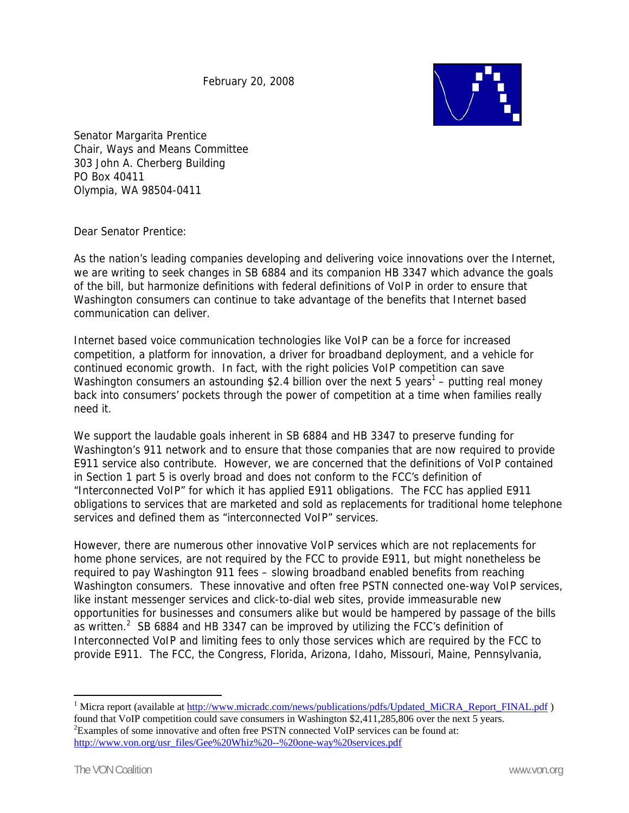February 20, 2008



Senator Margarita Prentice Chair, Ways and Means Committee 303 John A. Cherberg Building PO Box 40411 Olympia, WA 98504-0411

Dear Senator Prentice:

As the nation's leading companies developing and delivering voice innovations over the Internet, we are writing to seek changes in SB 6884 and its companion HB 3347 which advance the goals of the bill, but harmonize definitions with federal definitions of VoIP in order to ensure that Washington consumers can continue to take advantage of the benefits that Internet based communication can deliver.

Internet based voice communication technologies like VoIP can be a force for increased competition, a platform for innovation, a driver for broadband deployment, and a vehicle for continued economic growth. In fact, with the right policies VoIP competition can save Washington consumers an astounding \$2.4 billion over the next 5 years<sup>1</sup> – putting real money back into consumers' pockets through the power of competition at a time when families really need it.

We support the laudable goals inherent in SB 6884 and HB 3347 to preserve funding for Washington's 911 network and to ensure that those companies that are now required to provide E911 service also contribute. However, we are concerned that the definitions of VoIP contained in Section 1 part 5 is overly broad and does not conform to the FCC's definition of "Interconnected VoIP" for which it has applied E911 obligations. The FCC has applied E911 obligations to services that are marketed and sold as replacements for traditional home telephone services and defined them as "interconnected VoIP" services.

However, there are numerous other innovative VoIP services which are not replacements for home phone services, are not required by the FCC to provide E911, but might nonetheless be required to pay Washington 911 fees – slowing broadband enabled benefits from reaching Washington consumers. These innovative and often free PSTN connected one-way VoIP services, like instant messenger services and click-to-dial web sites, provide immeasurable new opportunities for businesses and consumers alike but would be hampered by passage of the bills as written.<sup>2</sup> SB 6884 and HB 3347 can be improved by utilizing the FCC's definition of Interconnected VoIP and limiting fees to only those services which are required by the FCC to provide E911. The FCC, the Congress, Florida, Arizona, Idaho, Missouri, Maine, Pennsylvania,

 $\overline{a}$ 

<sup>&</sup>lt;sup>1</sup> Micra report (available at http://www.micradc.com/news/publications/pdfs/Updated\_MiCRA\_Report\_FINAL.pdf ) found that VoIP competition could save consumers in Washington \$2,411,285,806 over the next 5 years. 2 <sup>2</sup> Examples of some innovative and often free PSTN connected VoIP services can be found at: http://www.von.org/usr\_files/Gee%20Whiz%20--%20one-way%20services.pdf